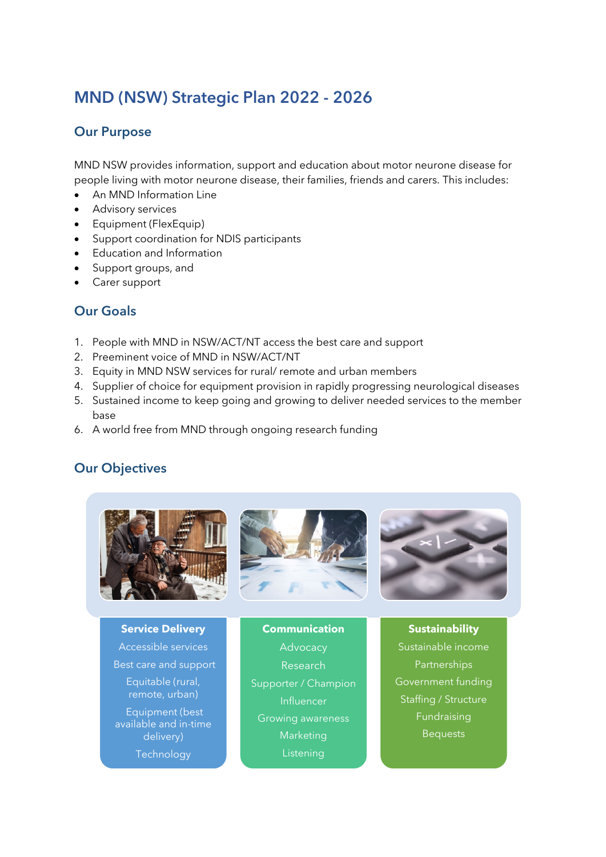# **MND (NSW) Strategic Plan 2022 - 2026**

#### **Our Purpose**

MND NSW provides information, support and education about motor neurone disease for people living with motor neurone disease, their families, friends and carers. This includes:

- An MND Information Line
- Advisory services
- Equipment (FlexEquip)
- Support coordination for NDIS participants
- Education and Information
- Support groups, and
- Carer support

### **Our Goals**

- 1. People with MND in NSW/ACT/NT access the best care and support
- 2. Preeminent voice of MND in NSW/ACT/NT
- 3. Equity in MND NSW services for rural/ remote and urban members
- 4. Supplier of choice for equipment provision in rapidly progressing neurological diseases
- 5. Sustained income to keep going and growing to deliver needed services to the member base
- 6. A world free from MND through ongoing research funding

### **Our Objectives**





**Service Delivery**

Accessible services Best care and support Equitable (rural, remote, urban) Equipment (best available and in-time delivery) **Technology** 

**Communication Advocacy** Research Supporter / Champion Influencer Growing awareness Marketing



**Sustainability** Sustainable income Partnerships Government funding Staffing / Structure Fundraising **Bequests**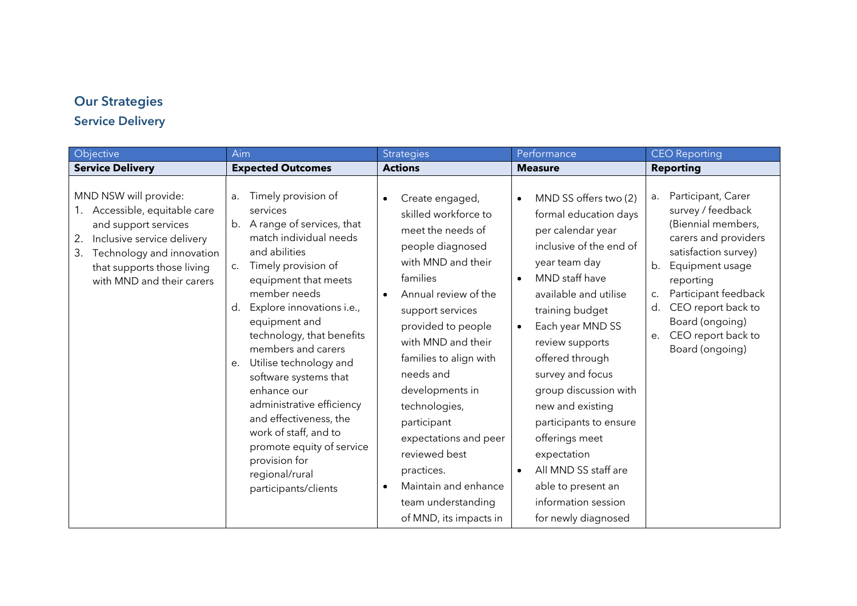## **Our Strategies Service Delivery**

| Objective                                                                                                                                                                                                     | Aim                                                                                                                                                                                                                                                                                                                                                                                                                                                                                                                                             | <b>Strategies</b>                                                                                                                                                                                                                                                                                                                                                                                                                                 | Performance                                                                                                                                                                                                                                                                                                                                                                                                                                                                                                         | <b>CEO</b> Reporting                                                                                                                                                                                                                                                                  |
|---------------------------------------------------------------------------------------------------------------------------------------------------------------------------------------------------------------|-------------------------------------------------------------------------------------------------------------------------------------------------------------------------------------------------------------------------------------------------------------------------------------------------------------------------------------------------------------------------------------------------------------------------------------------------------------------------------------------------------------------------------------------------|---------------------------------------------------------------------------------------------------------------------------------------------------------------------------------------------------------------------------------------------------------------------------------------------------------------------------------------------------------------------------------------------------------------------------------------------------|---------------------------------------------------------------------------------------------------------------------------------------------------------------------------------------------------------------------------------------------------------------------------------------------------------------------------------------------------------------------------------------------------------------------------------------------------------------------------------------------------------------------|---------------------------------------------------------------------------------------------------------------------------------------------------------------------------------------------------------------------------------------------------------------------------------------|
| <b>Service Delivery</b>                                                                                                                                                                                       | <b>Expected Outcomes</b>                                                                                                                                                                                                                                                                                                                                                                                                                                                                                                                        | <b>Actions</b>                                                                                                                                                                                                                                                                                                                                                                                                                                    | <b>Measure</b>                                                                                                                                                                                                                                                                                                                                                                                                                                                                                                      | <b>Reporting</b>                                                                                                                                                                                                                                                                      |
| MND NSW will provide:<br>Accessible, equitable care<br>and support services<br>Inclusive service delivery<br>2.<br>Technology and innovation<br>3.<br>that supports those living<br>with MND and their carers | Timely provision of<br>a.<br>services<br>A range of services, that<br>b.<br>match individual needs<br>and abilities<br>Timely provision of<br>C.<br>equipment that meets<br>member needs<br>Explore innovations i.e.,<br>d.<br>equipment and<br>technology, that benefits<br>members and carers<br>Utilise technology and<br>e.<br>software systems that<br>enhance our<br>administrative efficiency<br>and effectiveness, the<br>work of staff, and to<br>promote equity of service<br>provision for<br>regional/rural<br>participants/clients | Create engaged,<br>$\bullet$<br>skilled workforce to<br>meet the needs of<br>people diagnosed<br>with MND and their<br>families<br>Annual review of the<br>support services<br>provided to people<br>with MND and their<br>families to align with<br>needs and<br>developments in<br>technologies,<br>participant<br>expectations and peer<br>reviewed best<br>practices.<br>Maintain and enhance<br>team understanding<br>of MND, its impacts in | MND SS offers two (2)<br>$\bullet$<br>formal education days<br>per calendar year<br>inclusive of the end of<br>year team day<br>MND staff have<br>$\bullet$<br>available and utilise<br>training budget<br>Each year MND SS<br>$\bullet$<br>review supports<br>offered through<br>survey and focus<br>group discussion with<br>new and existing<br>participants to ensure<br>offerings meet<br>expectation<br>All MND SS staff are<br>$\bullet$<br>able to present an<br>information session<br>for newly diagnosed | Participant, Carer<br>a.<br>survey / feedback<br>(Biennial members,<br>carers and providers<br>satisfaction survey)<br>Equipment usage<br>b.<br>reporting<br>Participant feedback<br>C.<br>CEO report back to<br>d.<br>Board (ongoing)<br>CEO report back to<br>e.<br>Board (ongoing) |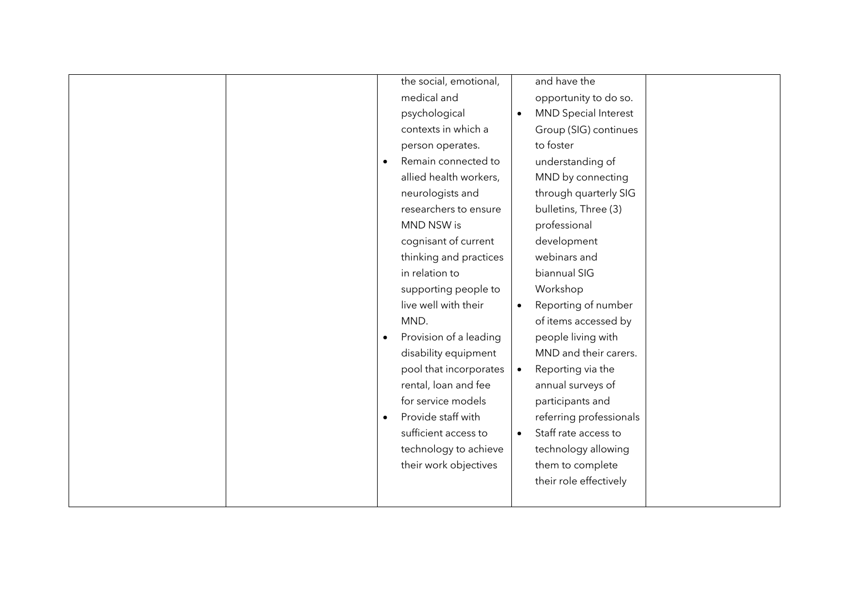| the social, emotional,           | and have the                             |
|----------------------------------|------------------------------------------|
| medical and                      | opportunity to do so.                    |
| psychological                    | <b>MND Special Interest</b><br>$\bullet$ |
| contexts in which a              | Group (SIG) continues                    |
| person operates.                 | to foster                                |
| Remain connected to<br>$\bullet$ | understanding of                         |
| allied health workers,           | MND by connecting                        |
| neurologists and                 | through quarterly SIG                    |
| researchers to ensure            | bulletins, Three (3)                     |
| MND NSW is                       | professional                             |
| cognisant of current             | development                              |
| thinking and practices           | webinars and                             |
| in relation to                   | biannual SIG                             |
| supporting people to             | Workshop                                 |
| live well with their             | Reporting of number<br>$\bullet$         |
| MND.                             | of items accessed by                     |
| Provision of a leading           | people living with                       |
| disability equipment             | MND and their carers.                    |
| pool that incorporates           | Reporting via the<br>$\bullet$           |
| rental, loan and fee             | annual surveys of                        |
| for service models               | participants and                         |
| Provide staff with<br>$\bullet$  | referring professionals                  |
| sufficient access to             | Staff rate access to<br>$\bullet$        |
| technology to achieve            | technology allowing                      |
| their work objectives            | them to complete                         |
|                                  | their role effectively                   |
|                                  |                                          |
|                                  |                                          |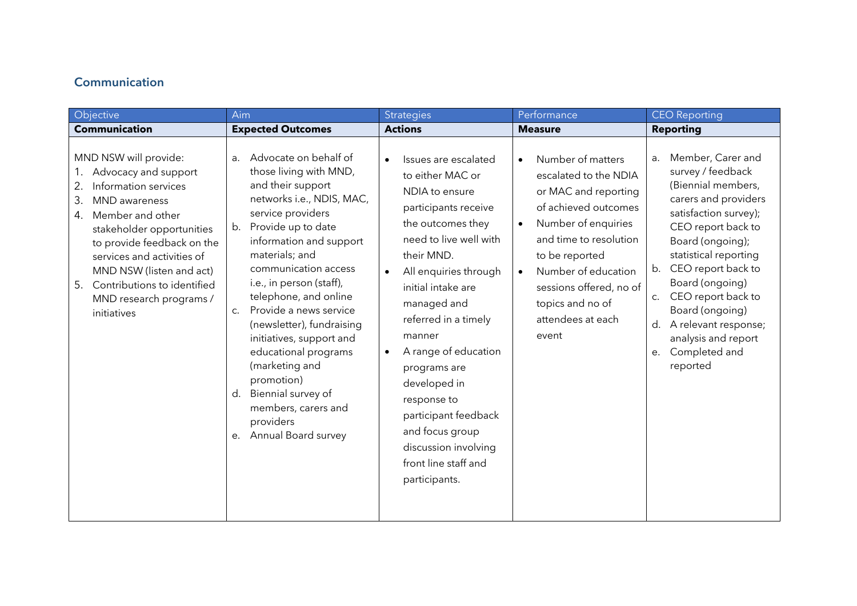### **Communication**

| Objective                                                                                                                                                                                                                                                                                                                               | Aim                                                                                                                                                                                                                                                                                                                                                                                                                                                                                                                           | <b>Strategies</b>                                                                                                                                                                                                                                                                                                                                                                                                                                            | Performance                                                                                                                                                                                                                                                                                              | <b>CEO Reporting</b>                                                                                                                                                                                                                                                                                                                                                         |
|-----------------------------------------------------------------------------------------------------------------------------------------------------------------------------------------------------------------------------------------------------------------------------------------------------------------------------------------|-------------------------------------------------------------------------------------------------------------------------------------------------------------------------------------------------------------------------------------------------------------------------------------------------------------------------------------------------------------------------------------------------------------------------------------------------------------------------------------------------------------------------------|--------------------------------------------------------------------------------------------------------------------------------------------------------------------------------------------------------------------------------------------------------------------------------------------------------------------------------------------------------------------------------------------------------------------------------------------------------------|----------------------------------------------------------------------------------------------------------------------------------------------------------------------------------------------------------------------------------------------------------------------------------------------------------|------------------------------------------------------------------------------------------------------------------------------------------------------------------------------------------------------------------------------------------------------------------------------------------------------------------------------------------------------------------------------|
| <b>Communication</b>                                                                                                                                                                                                                                                                                                                    | <b>Expected Outcomes</b>                                                                                                                                                                                                                                                                                                                                                                                                                                                                                                      | <b>Actions</b>                                                                                                                                                                                                                                                                                                                                                                                                                                               | <b>Measure</b>                                                                                                                                                                                                                                                                                           | <b>Reporting</b>                                                                                                                                                                                                                                                                                                                                                             |
| MND NSW will provide:<br>Advocacy and support<br>Information services<br>2.<br>3.<br><b>MND</b> awareness<br>Member and other<br>4.<br>stakeholder opportunities<br>to provide feedback on the<br>services and activities of<br>MND NSW (listen and act)<br>Contributions to identified<br>5.<br>MND research programs /<br>initiatives | Advocate on behalf of<br>a.<br>those living with MND,<br>and their support<br>networks i.e., NDIS, MAC,<br>service providers<br>Provide up to date<br>b.<br>information and support<br>materials; and<br>communication access<br>i.e., in person (staff),<br>telephone, and online<br>Provide a news service<br>C.<br>(newsletter), fundraising<br>initiatives, support and<br>educational programs<br>(marketing and<br>promotion)<br>d. Biennial survey of<br>members, carers and<br>providers<br>Annual Board survey<br>е. | Issues are escalated<br>$\bullet$<br>to either MAC or<br>NDIA to ensure<br>participants receive<br>the outcomes they<br>need to live well with<br>their MND.<br>All enquiries through<br>initial intake are<br>managed and<br>referred in a timely<br>manner<br>A range of education<br>$\bullet$<br>programs are<br>developed in<br>response to<br>participant feedback<br>and focus group<br>discussion involving<br>front line staff and<br>participants. | Number of matters<br>$\bullet$<br>escalated to the NDIA<br>or MAC and reporting<br>of achieved outcomes<br>Number of enquiries<br>$\bullet$<br>and time to resolution<br>to be reported<br>Number of education<br>$\bullet$<br>sessions offered, no of<br>topics and no of<br>attendees at each<br>event | Member, Carer and<br>a.<br>survey / feedback<br>(Biennial members,<br>carers and providers<br>satisfaction survey);<br>CEO report back to<br>Board (ongoing);<br>statistical reporting<br>CEO report back to<br>b.<br>Board (ongoing)<br>CEO report back to<br>C.<br>Board (ongoing)<br>A relevant response;<br>d.<br>analysis and report<br>Completed and<br>е.<br>reported |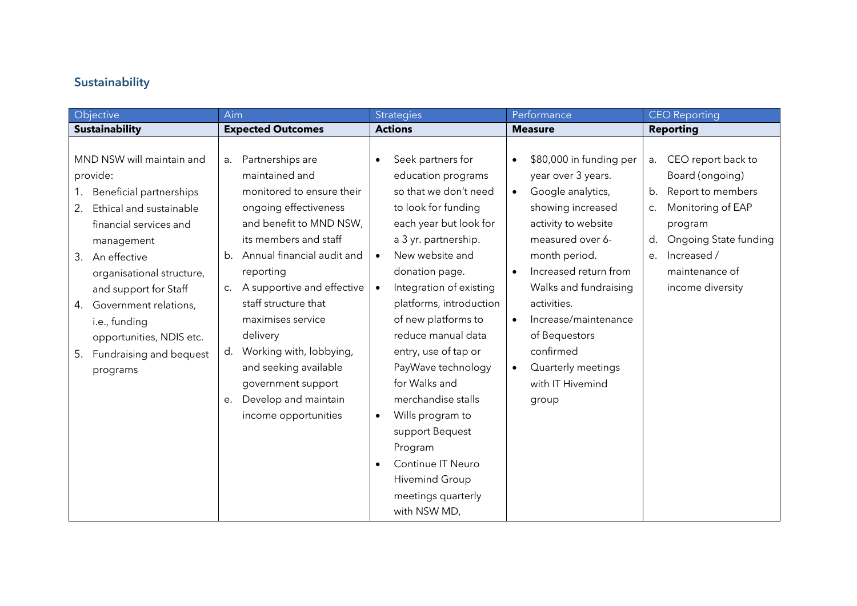## **Sustainability**

| Objective                                                                                                                                                                                                                                                                                                                                      | Aim                                                                                                                                                                                                                                                                                                                                                                                                                              | <b>Strategies</b>                                                                                                                                                                                                                                                                                                                                                                                                                                                                                                                                                             | Performance                                                                                                                                                                                                                                                                                                                                                                                    | <b>CEO Reporting</b>                                                                                                                                                                                   |
|------------------------------------------------------------------------------------------------------------------------------------------------------------------------------------------------------------------------------------------------------------------------------------------------------------------------------------------------|----------------------------------------------------------------------------------------------------------------------------------------------------------------------------------------------------------------------------------------------------------------------------------------------------------------------------------------------------------------------------------------------------------------------------------|-------------------------------------------------------------------------------------------------------------------------------------------------------------------------------------------------------------------------------------------------------------------------------------------------------------------------------------------------------------------------------------------------------------------------------------------------------------------------------------------------------------------------------------------------------------------------------|------------------------------------------------------------------------------------------------------------------------------------------------------------------------------------------------------------------------------------------------------------------------------------------------------------------------------------------------------------------------------------------------|--------------------------------------------------------------------------------------------------------------------------------------------------------------------------------------------------------|
| <b>Sustainability</b>                                                                                                                                                                                                                                                                                                                          | <b>Expected Outcomes</b>                                                                                                                                                                                                                                                                                                                                                                                                         | <b>Actions</b>                                                                                                                                                                                                                                                                                                                                                                                                                                                                                                                                                                | <b>Measure</b>                                                                                                                                                                                                                                                                                                                                                                                 | <b>Reporting</b>                                                                                                                                                                                       |
| MND NSW will maintain and<br>provide:<br>Beneficial partnerships<br>Ethical and sustainable<br>2.<br>financial services and<br>management<br>An effective<br>3.<br>organisational structure,<br>and support for Staff<br>Government relations,<br>4.<br>i.e., funding<br>opportunities, NDIS etc.<br>Fundraising and bequest<br>5.<br>programs | a. Partnerships are<br>maintained and<br>monitored to ensure their<br>ongoing effectiveness<br>and benefit to MND NSW,<br>its members and staff<br>Annual financial audit and<br>b.<br>reporting<br>A supportive and effective<br>C.<br>staff structure that<br>maximises service<br>delivery<br>d. Working with, lobbying,<br>and seeking available<br>government support<br>Develop and maintain<br>e.<br>income opportunities | Seek partners for<br>$\bullet$<br>education programs<br>so that we don't need<br>to look for funding<br>each year but look for<br>a 3 yr. partnership.<br>New website and<br>$\bullet$<br>donation page.<br>Integration of existing<br>$\bullet$<br>platforms, introduction<br>of new platforms to<br>reduce manual data<br>entry, use of tap or<br>PayWave technology<br>for Walks and<br>merchandise stalls<br>Wills program to<br>$\bullet$<br>support Bequest<br>Program<br>Continue IT Neuro<br>$\bullet$<br><b>Hivemind Group</b><br>meetings quarterly<br>with NSW MD, | \$80,000 in funding per<br>$\bullet$<br>year over 3 years.<br>Google analytics,<br>$\bullet$<br>showing increased<br>activity to website<br>measured over 6-<br>month period.<br>Increased return from<br>$\bullet$<br>Walks and fundraising<br>activities.<br>Increase/maintenance<br>$\bullet$<br>of Bequestors<br>confirmed<br>Quarterly meetings<br>$\bullet$<br>with IT Hivemind<br>group | CEO report back to<br>a.<br>Board (ongoing)<br>Report to members<br>b.<br>Monitoring of EAP<br>C.<br>program<br>Ongoing State funding<br>d.<br>Increased /<br>e.<br>maintenance of<br>income diversity |